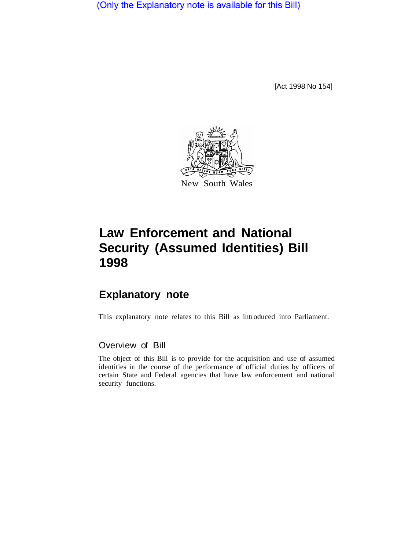(Only the Explanatory note is available for this Bill)

[Act 1998 No 154]



# **Law Enforcement and National Security (Assumed Identities) Bill 1998**

## **Explanatory note**

This explanatory note relates to this Bill as introduced into Parliament.

### Overview of Bill

The object of this Bill is to provide for the acquisition and use of assumed identities in the course of the performance of official duties by officers of certain State and Federal agencies that have law enforcement and national security functions.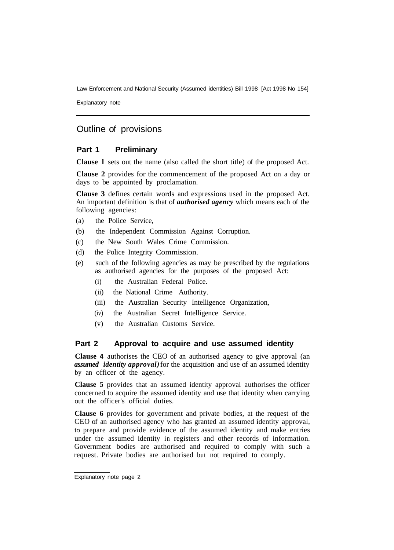Law Enforcement and National Security (Assumed identities) Bill 1998 [Act 1998 No 154]

Explanatory note

## Outline of provisions

#### **Part 1 Preliminary**

**Clause l** sets out the name (also called the short title) of the proposed Act.

**Clause 2** provides for the commencement of the proposed Act on a day or days to be appointed by proclamation.

**Clause 3** defines certain words and expressions used in the proposed Act. An important definition is that of *authorised agency* which means each of the following agencies:

- (a) the Police Service,
- (b) the Independent Commission Against Corruption.
- (c) the New South Wales Crime Commission.
- (d) the Police Integrity Commission.
- (e) such of the following agencies as may be prescribed by the regulations as authorised agencies for the purposes of the proposed Act:
	- (i) the Australian Federal Police.
	- (ii) the National Crime Authority.
	- (iii) the Australian Security Intelligence Organization,
	- (iv) the Australian Secret Intelligence Service.
	- (v) the Australian Customs Service.

#### **Part 2 Approval to acquire and use assumed identity**

**Clause 4** authorises the CEO of an authorised agency to give approval (an *assumed identity approval)* for the acquisition and use of an assumed identity by an officer of the agency.

**Clause 5** provides that an assumed identity approval authorises the officer concerned to acquire the assumed identity and use that identity when carrying out the officer's official duties.

**Clause 6** provides for government and private bodies, at the request of the CEO of an authorised agency who has granted an assumed identity approval, to prepare and provide evidence of the assumed identity and make entries under the assumed identity in registers and other records of information. Government bodies are authorised and required to comply with such a request. Private bodies are authorised but not required to comply.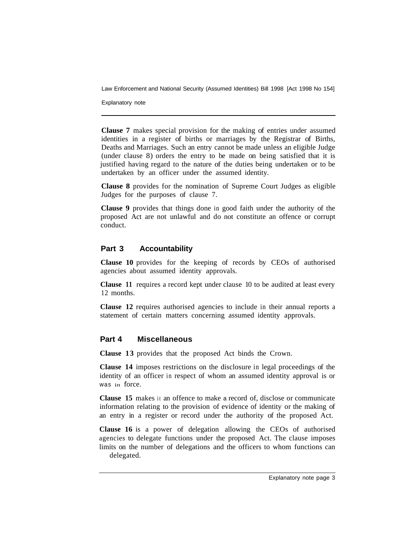Law Enforcement and National Security (Assumed Identities) Bill 1998 [Act 1998 No 154]

Explanatory note

**Clause 7** makes special provision for the making of entries under assumed identities in a register of births or marriages by the Registrar of Births, Deaths and Marriages. Such an entry cannot be made unless an eIigible Judge (under clause 8) orders the entry to be made on being satisfied that it is justified having regard to the nature of the duties being undertaken or to be undertaken by an officer under the assumed identity.

**Clause 8** provides for the nomination of Supreme Court Judges as eligible Judges for the purposes of clause 7.

**Clause 9** provides that things done in good faith under the authority of the proposed Act are not unlawful and do not constitute an offence or corrupt conduct.

#### **Part 3 Accountability**

**Clause 10** provides for the keeping of records by CEOs of authorised agencies about assumed identity approvals.

**Clause 11** requires a record kept under clause 10 to be audited at least every 12 months.

**Clause 12** requires authorised agencies to include in their annual reports a statement of certain matters concerning assumed identity approvals.

#### **Part 4 Miscellaneous**

**Clause 13** provides that the proposed Act binds the Crown.

**Clause 14** imposes restrictions on the disclosure in legal proceedings of the identity of an officer in respect of whom an assumed identity approval is or was in force.

**Clause 15** makes it an offence to make a record of, disclose or communicate information relating to the provision of evidence of identity or the making of an entry in a register or record under the authority of the proposed Act.

**Clause 16** is a power of delegation allowing the CEOs of authorised agencies to delegate functions under the proposed Act. The clause imposes limits on the number of delegations and the officers to whom functions can delegated.